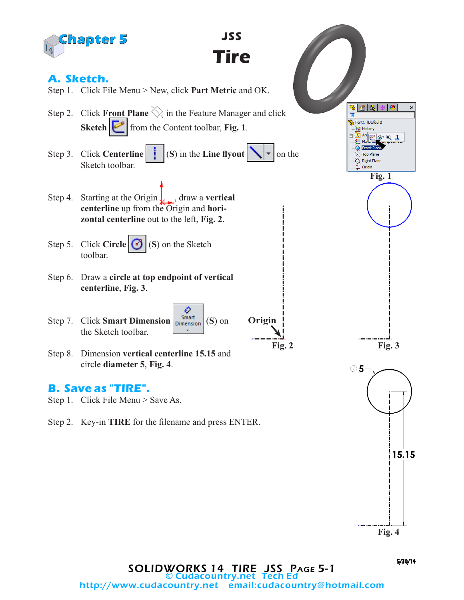



5/30/14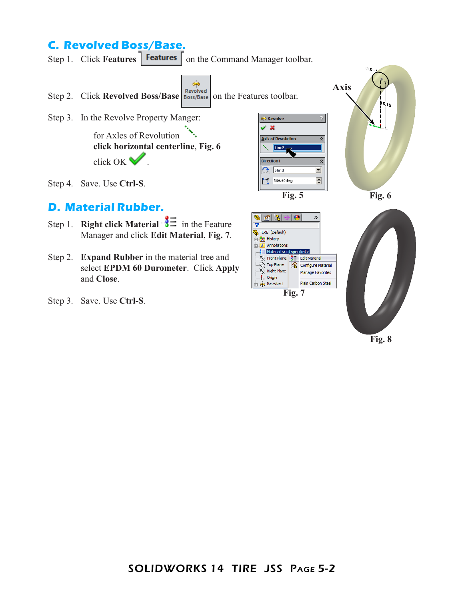## **C. Revolved Boss/Base.**

Step 1. Click **Features Features** on the Command Manager toolbar.



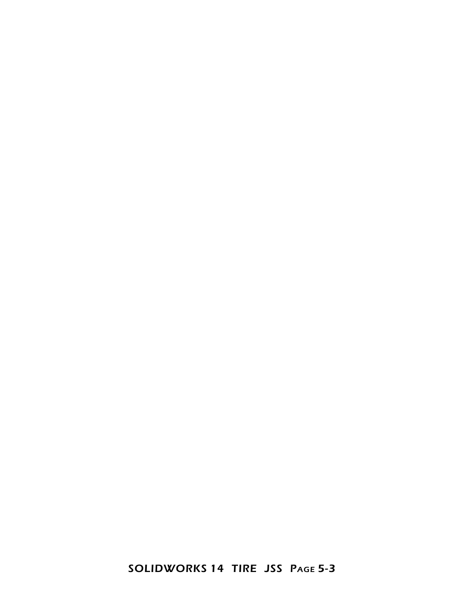SOLIDWORKS 14 TIRE JSS PAGE 5-3